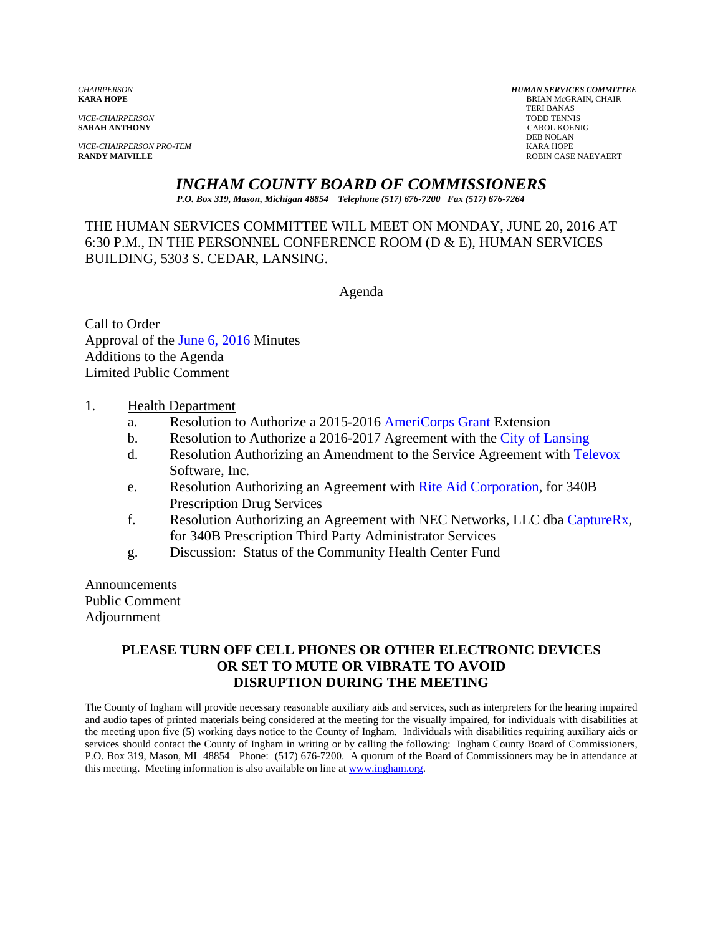**SARAH ANTHONY** 

*VICE-CHAIRPERSON PRO-TEM* KARA HOPE

*CHAIRPERSON HUMAN SERVICES COMMITTEE* **BRIAN McGRAIN, CHAIR**  TERI BANAS *VICE-CHAIRPERSON* TODD TENNIS DEB NOLAN **RANDY MAIVILLE** ROBIN CASE NAEYAERT

# *INGHAM COUNTY BOARD OF COMMISSIONERS*

*P.O. Box 319, Mason, Michigan 48854 Telephone (517) 676-7200 Fax (517) 676-7264*

THE HUMAN SERVICES COMMITTEE WILL MEET ON MONDAY, JUNE 20, 2016 AT 6:30 P.M., IN THE PERSONNEL CONFERENCE ROOM (D & E), HUMAN SERVICES BUILDING, 5303 S. CEDAR, LANSING.

Agenda

Call to Order Approval [of the June 6, 2016 Minutes](#page-1-0)  Additions to the Agenda Limited Public Comment

#### 1. Health Department

- a. Resolution to Authorize a 2015-2016 [AmeriCorps Grant E](#page-10-0)xtension
- b. Resolution to Authorize a 2016-2017 Agreement with the [City of Lansing](#page-14-0)
- d. Resolution Authorizing an Amendment to the Service Agreement wit[h Televox](#page-16-0) Software, Inc.
- e. Resolution Authorizing an Agreement wi[th Rite Aid Corporation, f](#page-24-0)or 340B Prescription Drug Services
- f. Resolution Authorizing an Agreement with NEC Networks, LLC db[a CaptureRx,](#page-25-0) for 340B Prescription Third Party Administrator Services
- g. Discussion: Status of the Community Health Center Fund

Announcements Public Comment Adjournment

#### **PLEASE TURN OFF CELL PHONES OR OTHER ELECTRONIC DEVICES OR SET TO MUTE OR VIBRATE TO AVOID DISRUPTION DURING THE MEETING**

The County of Ingham will provide necessary reasonable auxiliary aids and services, such as interpreters for the hearing impaired and audio tapes of printed materials being considered at the meeting for the visually impaired, for individuals with disabilities at the meeting upon five (5) working days notice to the County of Ingham. Individuals with disabilities requiring auxiliary aids or services should contact the County of Ingham in writing or by calling the following: Ingham County Board of Commissioners, P.O. Box 319, Mason, MI 48854 Phone: (517) 676-7200. A quorum of the Board of Commissioners may be in attendance at this meeting. Meeting information is also available on line at www.ingham.org.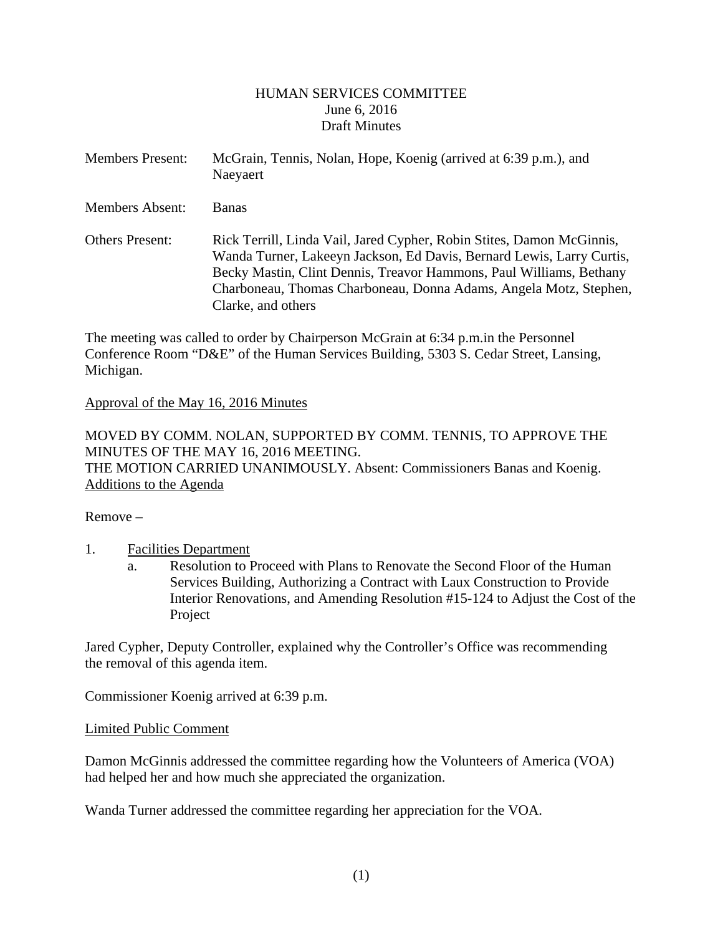#### HUMAN SERVICES COMMITTEE June 6, 2016 Draft Minutes

<span id="page-1-0"></span>

| <b>Members Present:</b> | McGrain, Tennis, Nolan, Hope, Koenig (arrived at 6:39 p.m.), and<br>Naeyaert                                                                                                                                                                                                                                     |
|-------------------------|------------------------------------------------------------------------------------------------------------------------------------------------------------------------------------------------------------------------------------------------------------------------------------------------------------------|
| <b>Members Absent:</b>  | <b>Banas</b>                                                                                                                                                                                                                                                                                                     |
| <b>Others Present:</b>  | Rick Terrill, Linda Vail, Jared Cypher, Robin Stites, Damon McGinnis,<br>Wanda Turner, Lakeeyn Jackson, Ed Davis, Bernard Lewis, Larry Curtis,<br>Becky Mastin, Clint Dennis, Treavor Hammons, Paul Williams, Bethany<br>Charboneau, Thomas Charboneau, Donna Adams, Angela Motz, Stephen,<br>Clarke, and others |

The meeting was called to order by Chairperson McGrain at 6:34 p.m.in the Personnel Conference Room "D&E" of the Human Services Building, 5303 S. Cedar Street, Lansing, Michigan.

#### Approval of the May 16, 2016 Minutes

MOVED BY COMM. NOLAN, SUPPORTED BY COMM. TENNIS, TO APPROVE THE MINUTES OF THE MAY 16, 2016 MEETING. THE MOTION CARRIED UNANIMOUSLY. Absent: Commissioners Banas and Koenig. Additions to the Agenda

Remove –

# 1. Facilities Department

a. Resolution to Proceed with Plans to Renovate the Second Floor of the Human Services Building, Authorizing a Contract with Laux Construction to Provide Interior Renovations, and Amending Resolution #15-124 to Adjust the Cost of the Project

Jared Cypher, Deputy Controller, explained why the Controller's Office was recommending the removal of this agenda item.

Commissioner Koenig arrived at 6:39 p.m.

#### Limited Public Comment

Damon McGinnis addressed the committee regarding how the Volunteers of America (VOA) had helped her and how much she appreciated the organization.

Wanda Turner addressed the committee regarding her appreciation for the VOA.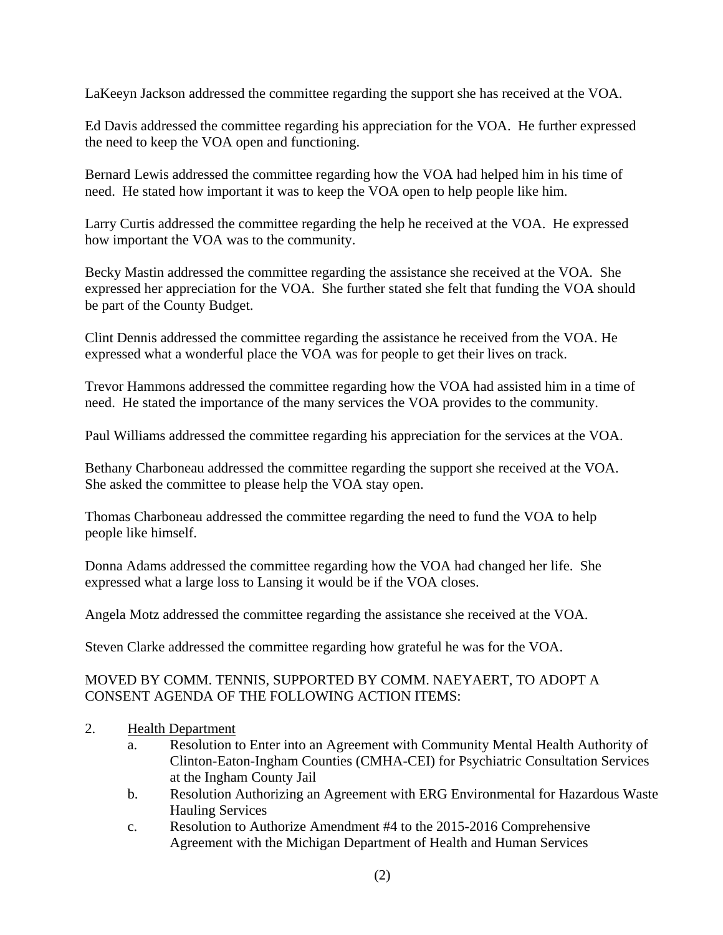LaKeeyn Jackson addressed the committee regarding the support she has received at the VOA.

Ed Davis addressed the committee regarding his appreciation for the VOA. He further expressed the need to keep the VOA open and functioning.

Bernard Lewis addressed the committee regarding how the VOA had helped him in his time of need. He stated how important it was to keep the VOA open to help people like him.

Larry Curtis addressed the committee regarding the help he received at the VOA. He expressed how important the VOA was to the community.

Becky Mastin addressed the committee regarding the assistance she received at the VOA. She expressed her appreciation for the VOA. She further stated she felt that funding the VOA should be part of the County Budget.

Clint Dennis addressed the committee regarding the assistance he received from the VOA. He expressed what a wonderful place the VOA was for people to get their lives on track.

Trevor Hammons addressed the committee regarding how the VOA had assisted him in a time of need. He stated the importance of the many services the VOA provides to the community.

Paul Williams addressed the committee regarding his appreciation for the services at the VOA.

Bethany Charboneau addressed the committee regarding the support she received at the VOA. She asked the committee to please help the VOA stay open.

Thomas Charboneau addressed the committee regarding the need to fund the VOA to help people like himself.

Donna Adams addressed the committee regarding how the VOA had changed her life. She expressed what a large loss to Lansing it would be if the VOA closes.

Angela Motz addressed the committee regarding the assistance she received at the VOA.

Steven Clarke addressed the committee regarding how grateful he was for the VOA.

# MOVED BY COMM. TENNIS, SUPPORTED BY COMM. NAEYAERT, TO ADOPT A CONSENT AGENDA OF THE FOLLOWING ACTION ITEMS:

- 2. Health Department
	- a. Resolution to Enter into an Agreement with Community Mental Health Authority of Clinton-Eaton-Ingham Counties (CMHA-CEI) for Psychiatric Consultation Services at the Ingham County Jail
	- b. Resolution Authorizing an Agreement with ERG Environmental for Hazardous Waste Hauling Services
	- c. Resolution to Authorize Amendment #4 to the 2015-2016 Comprehensive Agreement with the Michigan Department of Health and Human Services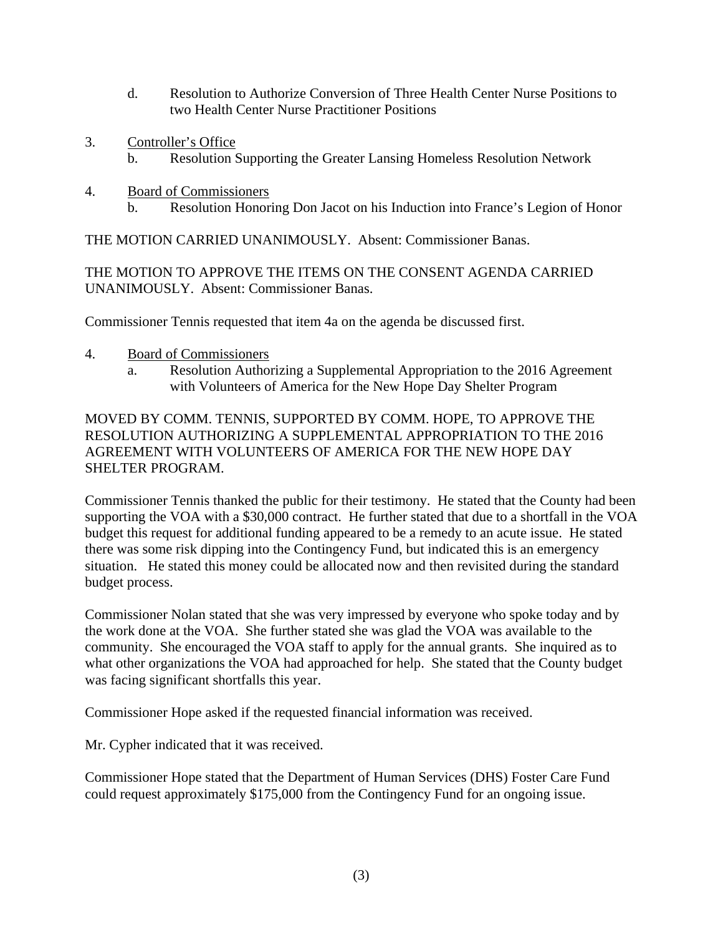- d. Resolution to Authorize Conversion of Three Health Center Nurse Positions to two Health Center Nurse Practitioner Positions
- 3. Controller's Office
	- b. Resolution Supporting the Greater Lansing Homeless Resolution Network
- 4. Board of Commissioners
	- b. Resolution Honoring Don Jacot on his Induction into France's Legion of Honor

THE MOTION CARRIED UNANIMOUSLY. Absent: Commissioner Banas.

THE MOTION TO APPROVE THE ITEMS ON THE CONSENT AGENDA CARRIED UNANIMOUSLY. Absent: Commissioner Banas.

Commissioner Tennis requested that item 4a on the agenda be discussed first.

- 4. Board of Commissioners
	- a. Resolution Authorizing a Supplemental Appropriation to the 2016 Agreement with Volunteers of America for the New Hope Day Shelter Program

MOVED BY COMM. TENNIS, SUPPORTED BY COMM. HOPE, TO APPROVE THE RESOLUTION AUTHORIZING A SUPPLEMENTAL APPROPRIATION TO THE 2016 AGREEMENT WITH VOLUNTEERS OF AMERICA FOR THE NEW HOPE DAY SHELTER PROGRAM.

Commissioner Tennis thanked the public for their testimony. He stated that the County had been supporting the VOA with a \$30,000 contract. He further stated that due to a shortfall in the VOA budget this request for additional funding appeared to be a remedy to an acute issue. He stated there was some risk dipping into the Contingency Fund, but indicated this is an emergency situation. He stated this money could be allocated now and then revisited during the standard budget process.

Commissioner Nolan stated that she was very impressed by everyone who spoke today and by the work done at the VOA. She further stated she was glad the VOA was available to the community. She encouraged the VOA staff to apply for the annual grants. She inquired as to what other organizations the VOA had approached for help. She stated that the County budget was facing significant shortfalls this year.

Commissioner Hope asked if the requested financial information was received.

Mr. Cypher indicated that it was received.

Commissioner Hope stated that the Department of Human Services (DHS) Foster Care Fund could request approximately \$175,000 from the Contingency Fund for an ongoing issue.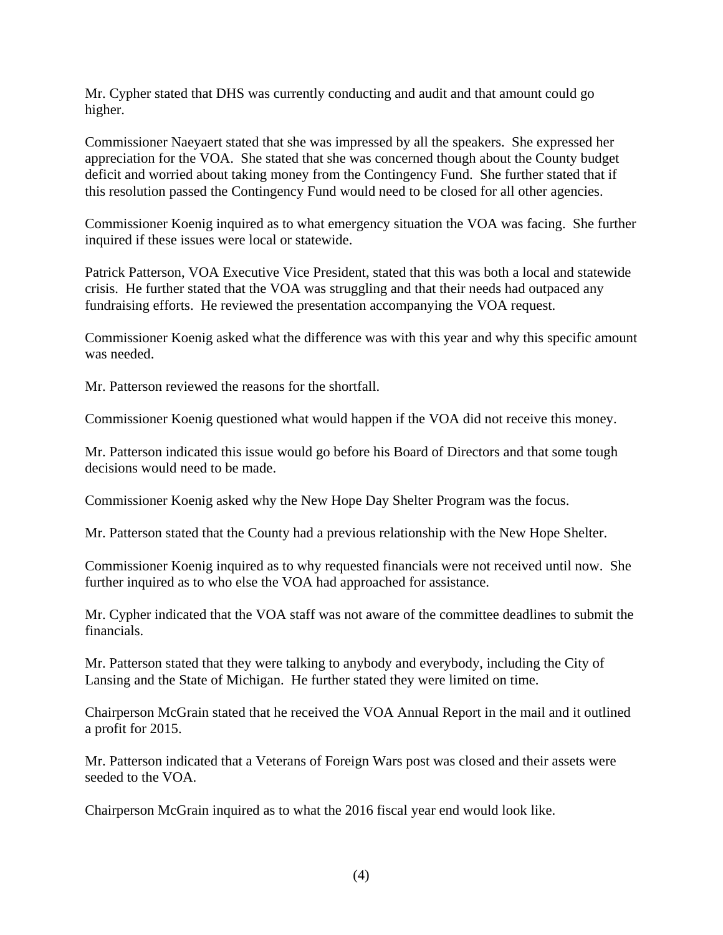Mr. Cypher stated that DHS was currently conducting and audit and that amount could go higher.

Commissioner Naeyaert stated that she was impressed by all the speakers. She expressed her appreciation for the VOA. She stated that she was concerned though about the County budget deficit and worried about taking money from the Contingency Fund. She further stated that if this resolution passed the Contingency Fund would need to be closed for all other agencies.

Commissioner Koenig inquired as to what emergency situation the VOA was facing. She further inquired if these issues were local or statewide.

Patrick Patterson, VOA Executive Vice President, stated that this was both a local and statewide crisis. He further stated that the VOA was struggling and that their needs had outpaced any fundraising efforts. He reviewed the presentation accompanying the VOA request.

Commissioner Koenig asked what the difference was with this year and why this specific amount was needed.

Mr. Patterson reviewed the reasons for the shortfall.

Commissioner Koenig questioned what would happen if the VOA did not receive this money.

Mr. Patterson indicated this issue would go before his Board of Directors and that some tough decisions would need to be made.

Commissioner Koenig asked why the New Hope Day Shelter Program was the focus.

Mr. Patterson stated that the County had a previous relationship with the New Hope Shelter.

Commissioner Koenig inquired as to why requested financials were not received until now. She further inquired as to who else the VOA had approached for assistance.

Mr. Cypher indicated that the VOA staff was not aware of the committee deadlines to submit the financials.

Mr. Patterson stated that they were talking to anybody and everybody, including the City of Lansing and the State of Michigan. He further stated they were limited on time.

Chairperson McGrain stated that he received the VOA Annual Report in the mail and it outlined a profit for 2015.

Mr. Patterson indicated that a Veterans of Foreign Wars post was closed and their assets were seeded to the VOA.

Chairperson McGrain inquired as to what the 2016 fiscal year end would look like.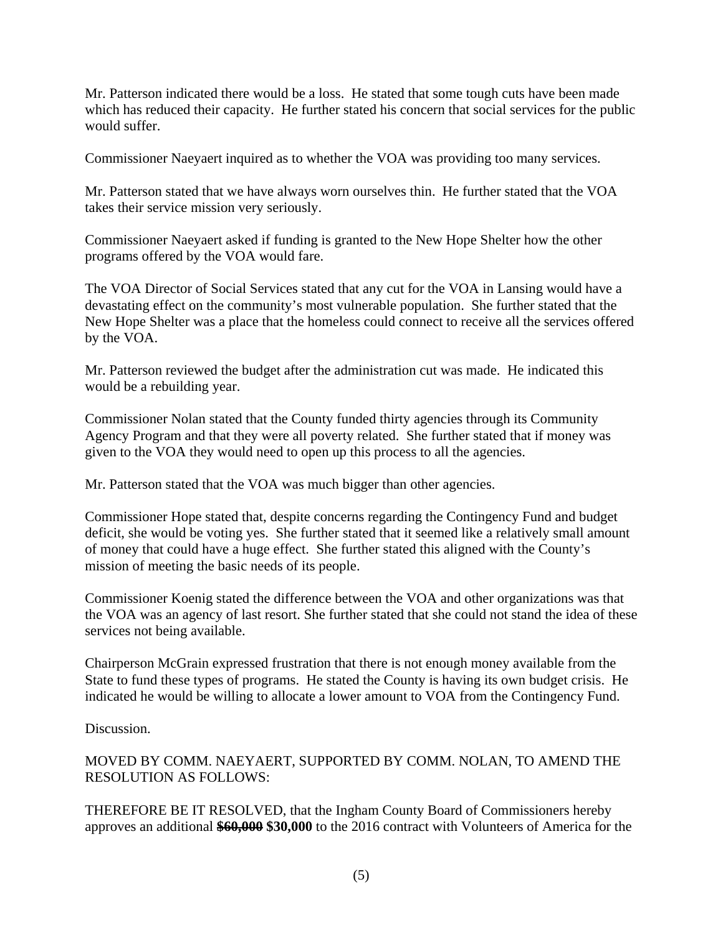Mr. Patterson indicated there would be a loss. He stated that some tough cuts have been made which has reduced their capacity. He further stated his concern that social services for the public would suffer.

Commissioner Naeyaert inquired as to whether the VOA was providing too many services.

Mr. Patterson stated that we have always worn ourselves thin. He further stated that the VOA takes their service mission very seriously.

Commissioner Naeyaert asked if funding is granted to the New Hope Shelter how the other programs offered by the VOA would fare.

The VOA Director of Social Services stated that any cut for the VOA in Lansing would have a devastating effect on the community's most vulnerable population. She further stated that the New Hope Shelter was a place that the homeless could connect to receive all the services offered by the VOA.

Mr. Patterson reviewed the budget after the administration cut was made. He indicated this would be a rebuilding year.

Commissioner Nolan stated that the County funded thirty agencies through its Community Agency Program and that they were all poverty related. She further stated that if money was given to the VOA they would need to open up this process to all the agencies.

Mr. Patterson stated that the VOA was much bigger than other agencies.

Commissioner Hope stated that, despite concerns regarding the Contingency Fund and budget deficit, she would be voting yes. She further stated that it seemed like a relatively small amount of money that could have a huge effect. She further stated this aligned with the County's mission of meeting the basic needs of its people.

Commissioner Koenig stated the difference between the VOA and other organizations was that the VOA was an agency of last resort. She further stated that she could not stand the idea of these services not being available.

Chairperson McGrain expressed frustration that there is not enough money available from the State to fund these types of programs. He stated the County is having its own budget crisis. He indicated he would be willing to allocate a lower amount to VOA from the Contingency Fund.

Discussion.

MOVED BY COMM. NAEYAERT, SUPPORTED BY COMM. NOLAN, TO AMEND THE RESOLUTION AS FOLLOWS:

THEREFORE BE IT RESOLVED, that the Ingham County Board of Commissioners hereby approves an additional **\$60,000 \$30,000** to the 2016 contract with Volunteers of America for the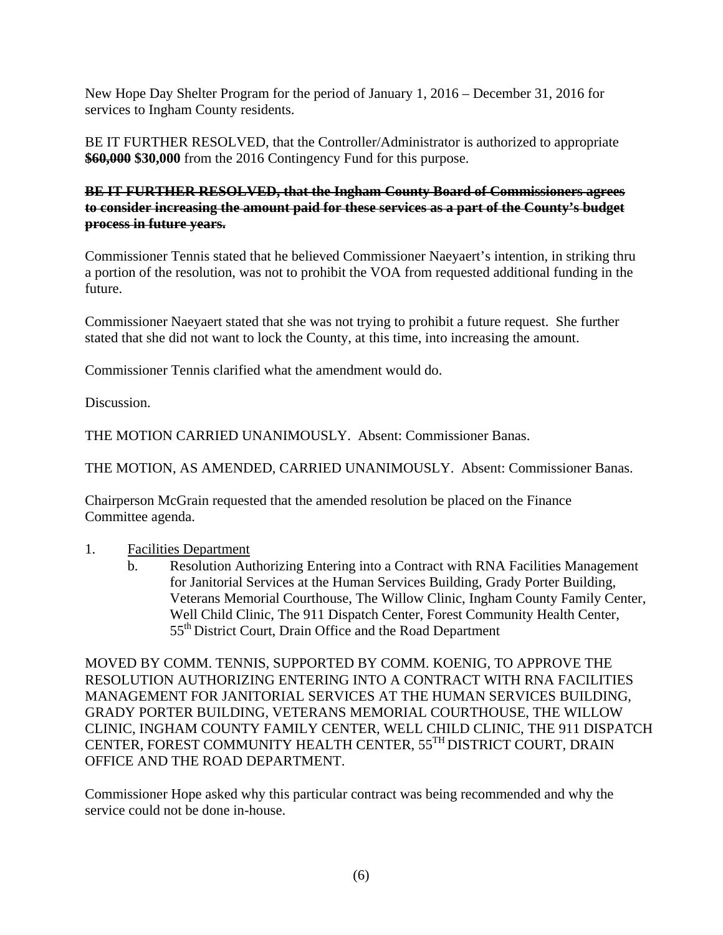New Hope Day Shelter Program for the period of January 1, 2016 – December 31, 2016 for services to Ingham County residents.

BE IT FURTHER RESOLVED, that the Controller/Administrator is authorized to appropriate **\$60,000 \$30,000** from the 2016 Contingency Fund for this purpose.

## **BE IT FURTHER RESOLVED, that the Ingham County Board of Commissioners agrees to consider increasing the amount paid for these services as a part of the County's budget process in future years.**

Commissioner Tennis stated that he believed Commissioner Naeyaert's intention, in striking thru a portion of the resolution, was not to prohibit the VOA from requested additional funding in the future.

Commissioner Naeyaert stated that she was not trying to prohibit a future request. She further stated that she did not want to lock the County, at this time, into increasing the amount.

Commissioner Tennis clarified what the amendment would do.

Discussion.

THE MOTION CARRIED UNANIMOUSLY. Absent: Commissioner Banas.

THE MOTION, AS AMENDED, CARRIED UNANIMOUSLY. Absent: Commissioner Banas.

Chairperson McGrain requested that the amended resolution be placed on the Finance Committee agenda.

#### 1. Facilities Department

b. Resolution Authorizing Entering into a Contract with RNA Facilities Management for Janitorial Services at the Human Services Building, Grady Porter Building, Veterans Memorial Courthouse, The Willow Clinic, Ingham County Family Center, Well Child Clinic, The 911 Dispatch Center, Forest Community Health Center, 55<sup>th</sup> District Court, Drain Office and the Road Department

MOVED BY COMM. TENNIS, SUPPORTED BY COMM. KOENIG, TO APPROVE THE RESOLUTION AUTHORIZING ENTERING INTO A CONTRACT WITH RNA FACILITIES MANAGEMENT FOR JANITORIAL SERVICES AT THE HUMAN SERVICES BUILDING, GRADY PORTER BUILDING, VETERANS MEMORIAL COURTHOUSE, THE WILLOW CLINIC, INGHAM COUNTY FAMILY CENTER, WELL CHILD CLINIC, THE 911 DISPATCH CENTER, FOREST COMMUNITY HEALTH CENTER, 55TH DISTRICT COURT, DRAIN OFFICE AND THE ROAD DEPARTMENT.

Commissioner Hope asked why this particular contract was being recommended and why the service could not be done in-house.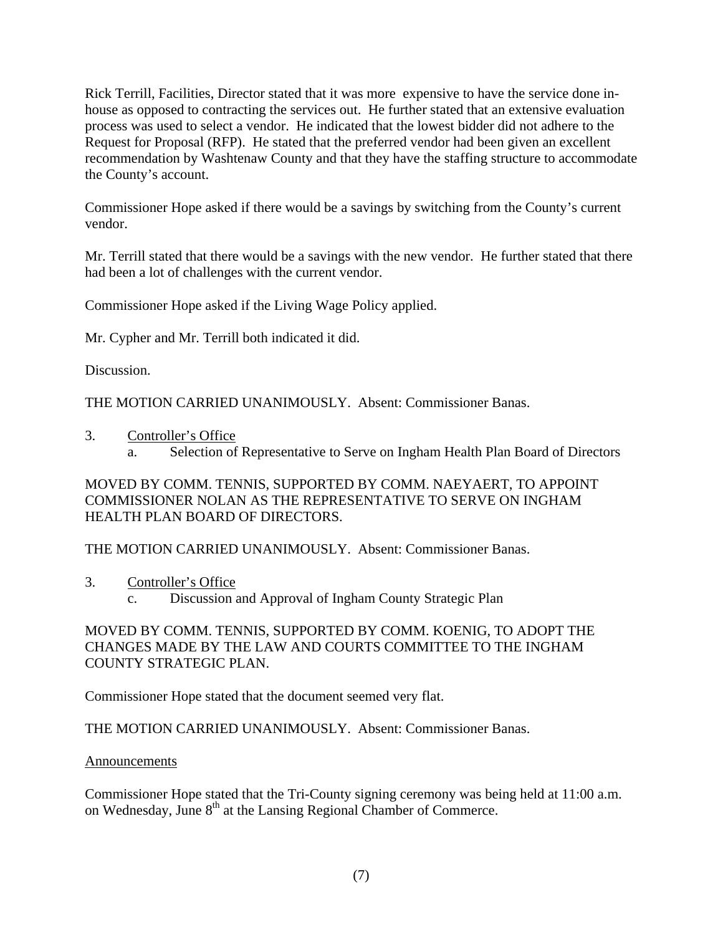Rick Terrill, Facilities, Director stated that it was more expensive to have the service done inhouse as opposed to contracting the services out. He further stated that an extensive evaluation process was used to select a vendor. He indicated that the lowest bidder did not adhere to the Request for Proposal (RFP). He stated that the preferred vendor had been given an excellent recommendation by Washtenaw County and that they have the staffing structure to accommodate the County's account.

Commissioner Hope asked if there would be a savings by switching from the County's current vendor.

Mr. Terrill stated that there would be a savings with the new vendor. He further stated that there had been a lot of challenges with the current vendor.

Commissioner Hope asked if the Living Wage Policy applied.

Mr. Cypher and Mr. Terrill both indicated it did.

Discussion.

THE MOTION CARRIED UNANIMOUSLY. Absent: Commissioner Banas.

- 3. Controller's Office
	- a. Selection of Representative to Serve on Ingham Health Plan Board of Directors

MOVED BY COMM. TENNIS, SUPPORTED BY COMM. NAEYAERT, TO APPOINT COMMISSIONER NOLAN AS THE REPRESENTATIVE TO SERVE ON INGHAM HEALTH PLAN BOARD OF DIRECTORS.

THE MOTION CARRIED UNANIMOUSLY. Absent: Commissioner Banas.

- 3. Controller's Office
	- c. Discussion and Approval of Ingham County Strategic Plan

# MOVED BY COMM. TENNIS, SUPPORTED BY COMM. KOENIG, TO ADOPT THE CHANGES MADE BY THE LAW AND COURTS COMMITTEE TO THE INGHAM COUNTY STRATEGIC PLAN.

Commissioner Hope stated that the document seemed very flat.

THE MOTION CARRIED UNANIMOUSLY. Absent: Commissioner Banas.

# Announcements

Commissioner Hope stated that the Tri-County signing ceremony was being held at 11:00 a.m. on Wednesday, June 8<sup>th</sup> at the Lansing Regional Chamber of Commerce.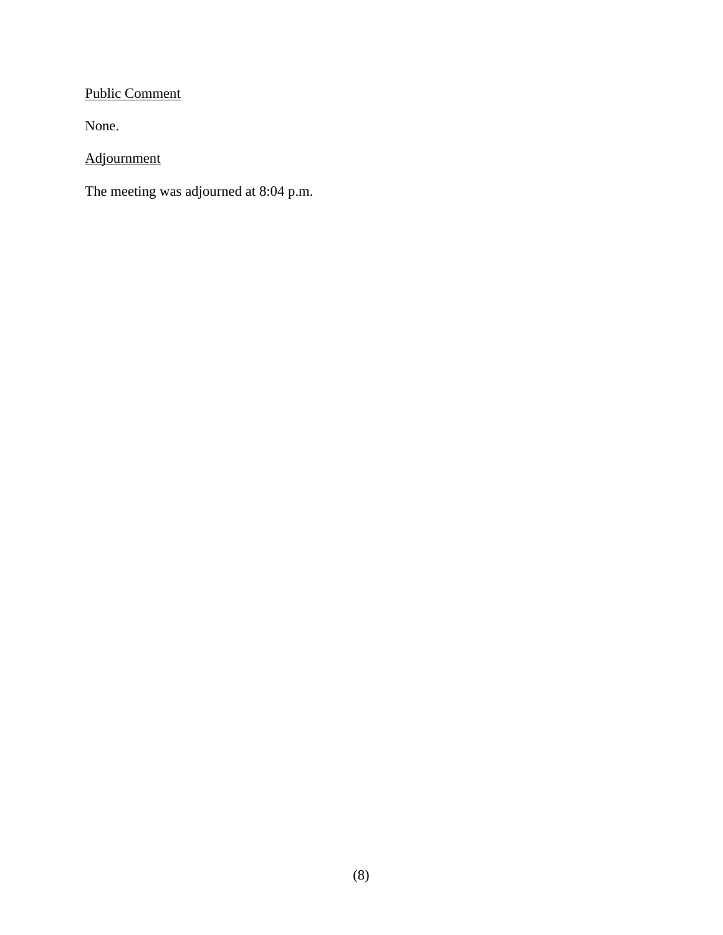# Public Comment

None.

Adjournment

The meeting was adjourned at 8:04 p.m.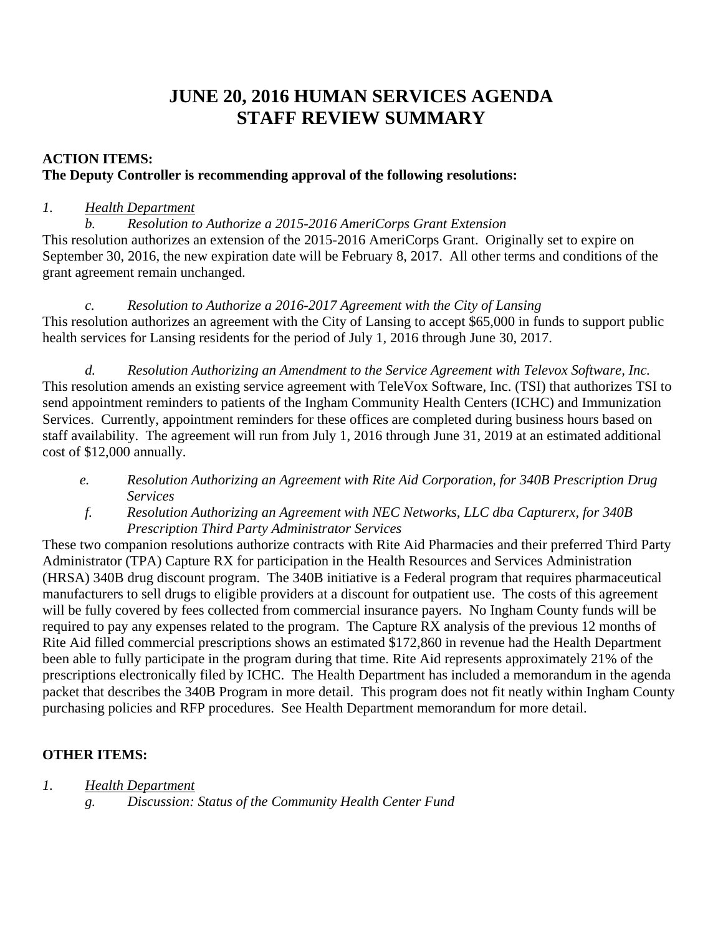# **JUNE 20, 2016 HUMAN SERVICES AGENDA STAFF REVIEW SUMMARY**

# **ACTION ITEMS: The Deputy Controller is recommending approval of the following resolutions:**

# *1. Health Department*

*b. Resolution to Authorize a 2015-2016 AmeriCorps Grant Extension*  This resolution authorizes an extension of the 2015-2016 AmeriCorps Grant. Originally set to expire on September 30, 2016, the new expiration date will be February 8, 2017. All other terms and conditions of the grant agreement remain unchanged.

*c. Resolution to Authorize a 2016-2017 Agreement with the City of Lansing*  This resolution authorizes an agreement with the City of Lansing to accept \$65,000 in funds to support public health services for Lansing residents for the period of July 1, 2016 through June 30, 2017.

*d. Resolution Authorizing an Amendment to the Service Agreement with Televox Software, Inc.* This resolution amends an existing service agreement with TeleVox Software, Inc. (TSI) that authorizes TSI to send appointment reminders to patients of the Ingham Community Health Centers (ICHC) and Immunization Services. Currently, appointment reminders for these offices are completed during business hours based on staff availability. The agreement will run from July 1, 2016 through June 31, 2019 at an estimated additional cost of \$12,000 annually.

- *e. Resolution Authorizing an Agreement with Rite Aid Corporation, for 340B Prescription Drug Services*
- *f. Resolution Authorizing an Agreement with NEC Networks, LLC dba Capturerx, for 340B Prescription Third Party Administrator Services*

These two companion resolutions authorize contracts with Rite Aid Pharmacies and their preferred Third Party Administrator (TPA) Capture RX for participation in the Health Resources and Services Administration (HRSA) 340B drug discount program. The 340B initiative is a Federal program that requires pharmaceutical manufacturers to sell drugs to eligible providers at a discount for outpatient use. The costs of this agreement will be fully covered by fees collected from commercial insurance payers. No Ingham County funds will be required to pay any expenses related to the program. The Capture RX analysis of the previous 12 months of Rite Aid filled commercial prescriptions shows an estimated \$172,860 in revenue had the Health Department been able to fully participate in the program during that time. Rite Aid represents approximately 21% of the prescriptions electronically filed by ICHC. The Health Department has included a memorandum in the agenda packet that describes the 340B Program in more detail. This program does not fit neatly within Ingham County purchasing policies and RFP procedures. See Health Department memorandum for more detail.

# **OTHER ITEMS:**

- *1. Health Department* 
	- *g. Discussion: Status of the Community Health Center Fund*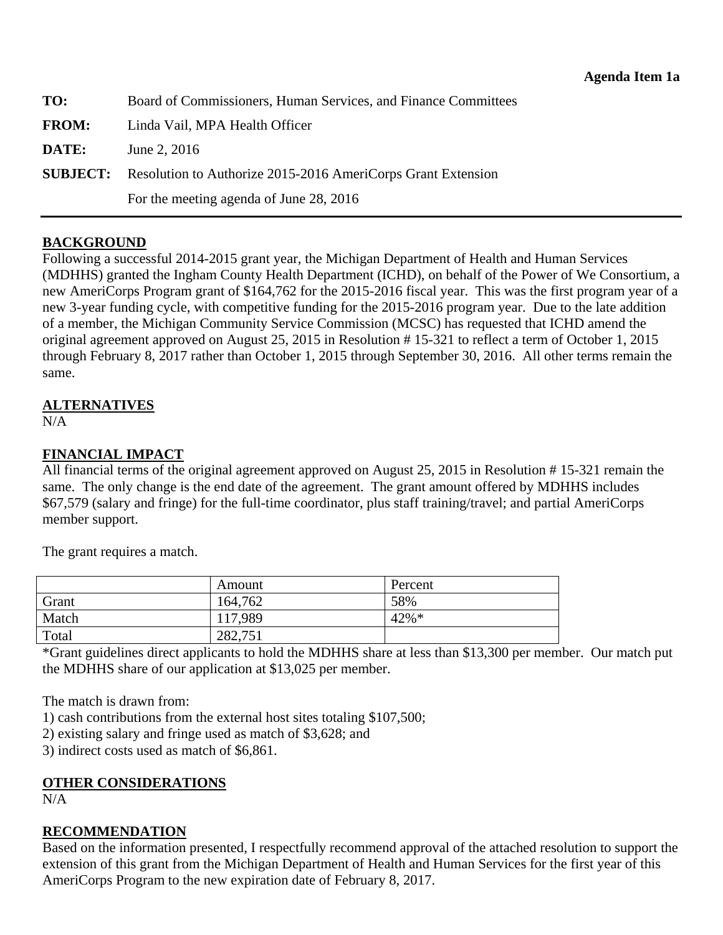<span id="page-10-0"></span>**TO:** Board of Commissioners, Human Services, and Finance Committees

**FROM:** Linda Vail, MPA Health Officer

**DATE:** June 2, 2016

**SUBJECT:** Resolution to Authorize 2015-2016 AmeriCorps Grant Extension

For the meeting agenda of June 28, 2016

#### **BACKGROUND**

Following a successful 2014-2015 grant year, the Michigan Department of Health and Human Services (MDHHS) granted the Ingham County Health Department (ICHD), on behalf of the Power of We Consortium, a new AmeriCorps Program grant of \$164,762 for the 2015-2016 fiscal year. This was the first program year of a new 3-year funding cycle, with competitive funding for the 2015-2016 program year. Due to the late addition of a member, the Michigan Community Service Commission (MCSC) has requested that ICHD amend the original agreement approved on August 25, 2015 in Resolution # 15-321 to reflect a term of October 1, 2015 through February 8, 2017 rather than October 1, 2015 through September 30, 2016. All other terms remain the same.

# **ALTERNATIVES**

 $N/A$ 

# **FINANCIAL IMPACT**

All financial terms of the original agreement approved on August 25, 2015 in Resolution # 15-321 remain the same. The only change is the end date of the agreement. The grant amount offered by MDHHS includes \$67,579 (salary and fringe) for the full-time coordinator, plus staff training/travel; and partial AmeriCorps member support.

The grant requires a match.

|       | Amount  | Percent  |
|-------|---------|----------|
| Grant | 164,762 | 58%      |
| Match | 117,989 | $42\% *$ |
| Total | 282,751 |          |

\*Grant guidelines direct applicants to hold the MDHHS share at less than \$13,300 per member. Our match put the MDHHS share of our application at \$13,025 per member.

The match is drawn from:

1) cash contributions from the external host sites totaling \$107,500;

2) existing salary and fringe used as match of \$3,628; and

3) indirect costs used as match of \$6,861.

# **OTHER CONSIDERATIONS**

N/A

# **RECOMMENDATION**

Based on the information presented, I respectfully recommend approval of the attached resolution to support the extension of this grant from the Michigan Department of Health and Human Services for the first year of this AmeriCorps Program to the new expiration date of February 8, 2017.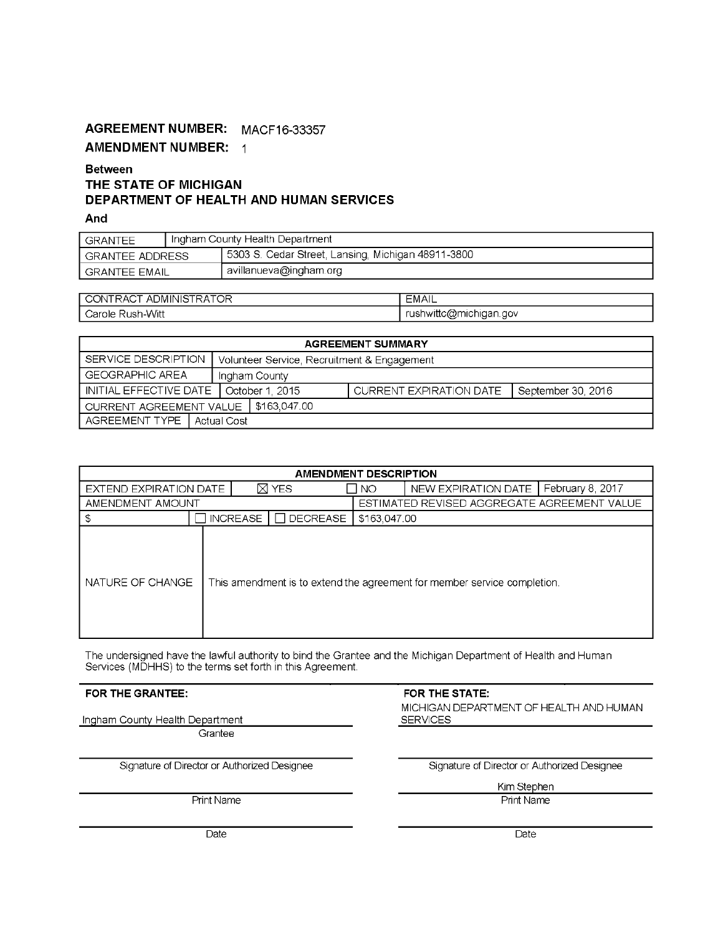# AGREEMENT NUMBER: MACF16-33357 **AMENDMENT NUMBER: 1**

#### **Between** THE STATE OF MICHIGAN DEPARTMENT OF HEALTH AND HUMAN SERVICES

And

| GRANTEE         | Ingham County Health Department |                                                    |  |
|-----------------|---------------------------------|----------------------------------------------------|--|
| GRANTEE ADDRESS |                                 | 5303 S. Cedar Street, Lansing, Michigan 48911-3800 |  |
| ' GRANTEE EMAIL |                                 | avillanueva@ingham.org                             |  |

| $\sim$ $\sim$ $\sim$ $\sim$<br><sup>ㅜ</sup> ADMINIS.<br>Δſ<br>◡<br>האר<br>$\sim$ | $\Lambda$ 1<br>⊏MAIL                               |
|----------------------------------------------------------------------------------|----------------------------------------------------|
| lush-Witt?<br>ل arole:                                                           | ∵wittc@m، <sub>ت</sub><br>nichigan.gov<br>ันร<br>∽ |

| <b>AGREEMENT SUMMARY</b>                 |  |                                             |              |                         |  |                       |
|------------------------------------------|--|---------------------------------------------|--------------|-------------------------|--|-----------------------|
| SERVICE DESCRIPTION                      |  | Volunteer Service, Recruitment & Engagement |              |                         |  |                       |
| GEOGRAPHIC AREA<br>Ingham County         |  |                                             |              |                         |  |                       |
| INITIAL EFFECTIVE DATE   October 1, 2015 |  |                                             |              | CURRENT EXPIRATION DATE |  | l September 30, 2016. |
| l CURRENT AGREEMENT VALUE                |  |                                             | \$163,047.00 |                         |  |                       |
| AGREEMENT TYPE   Actual Cost             |  |                                             |              |                         |  |                       |

| <b>AMENDMENT DESCRIPTION</b> |                 |  |                                   |              |                                                                          |                  |  |
|------------------------------|-----------------|--|-----------------------------------|--------------|--------------------------------------------------------------------------|------------------|--|
| EXTEND EXPIRATION DATE       |                 |  | ⊠ YES                             | NO.          | NEW EXPIRATION DATE                                                      | February 8, 2017 |  |
| AMENDMENT AMOUNT             |                 |  |                                   |              | ESTIMATED REVISED AGGREGATE AGREEMENT VALUE                              |                  |  |
|                              | <b>INCREASE</b> |  | $\overline{\phantom{x}}$ DECREASE | \$163,047.00 |                                                                          |                  |  |
| NATURE OF CHANGE             |                 |  |                                   |              | This amendment is to extend the agreement for member service completion. |                  |  |

The undersigned have the lawful authority to bind the Grantee and the Michigan Department of Health and Human<br>Services (MDHHS) to the terms set forth in this Agreement.

#### FOR THE GRANTEE:

Ingham County Health Department

Grantee

Signature of Director or Authorized Designee

**Print Name** 

#### FOR THE STATE:

MICHIGAN DEPARTMENT OF HEALTH AND HUMAN **SERVICES** 

Signature of Director or Authorized Designee

Kim Stephen

Print Name

Date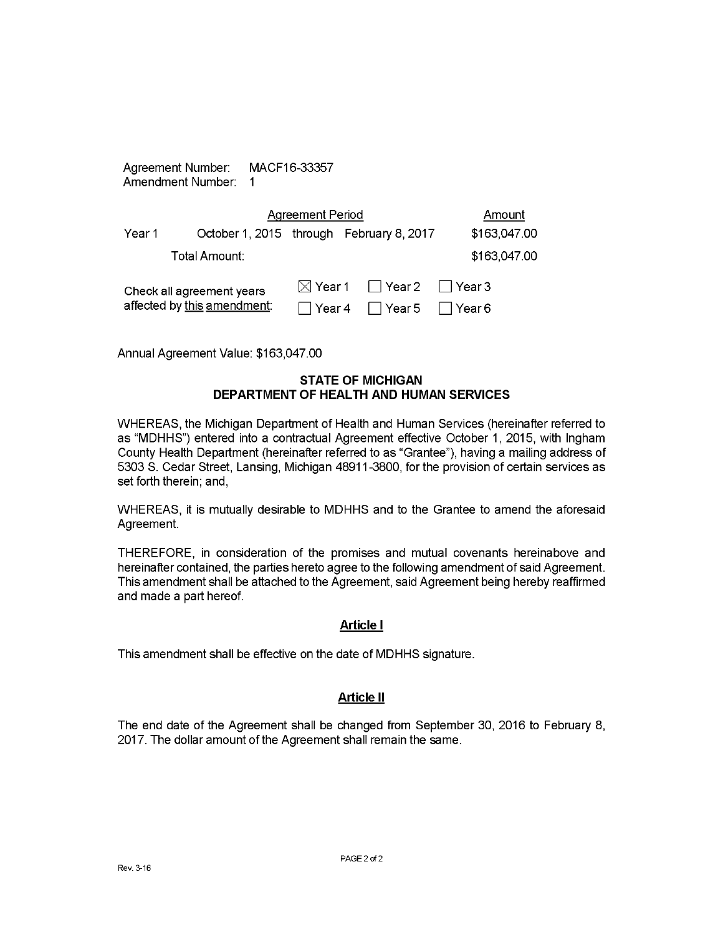| Agreement Number: | MACF16-33357 |
|-------------------|--------------|
| Amendment Number: |              |

|                             | <b>Agreement Period</b>                  |          |                                                |               |  |
|-----------------------------|------------------------------------------|----------|------------------------------------------------|---------------|--|
| Year 1                      | October 1, 2015 through February 8, 2017 |          |                                                | \$163,047.00  |  |
|                             | Total Amount:                            |          |                                                | \$163,047.00  |  |
|                             | Check all agreement years                |          | $\boxtimes$ Year 1 $\Box$ Year 2 $\Box$ Year 3 |               |  |
| affected by this amendment: |                                          | l Year 4 | □ Year 5                                       | $\Box$ Year 6 |  |

Annual Agreement Value: \$163,047.00

#### **STATE OF MICHIGAN DEPARTMENT OF HEALTH AND HUMAN SERVICES**

WHEREAS, the Michigan Department of Health and Human Services (hereinafter referred to as "MDHHS") entered into a contractual Agreement effective October 1, 2015, with Ingham County Health Department (hereinafter referred to as "Grantee"), having a mailing address of 5303 S. Cedar Street, Lansing, Michigan 48911-3800, for the provision of certain services as set forth therein; and,

WHEREAS, it is mutually desirable to MDHHS and to the Grantee to amend the aforesaid Agreement.

THEREFORE, in consideration of the promises and mutual covenants hereinabove and hereinafter contained, the parties hereto agree to the following amendment of said Agreement. This amendment shall be attached to the Agreement, said Agreement being hereby reaffirmed and made a part hereof.

#### **Article I**

This amendment shall be effective on the date of MDHHS signature.

#### **Article II**

The end date of the Agreement shall be changed from September 30, 2016 to February 8, 2017. The dollar amount of the Agreement shall remain the same.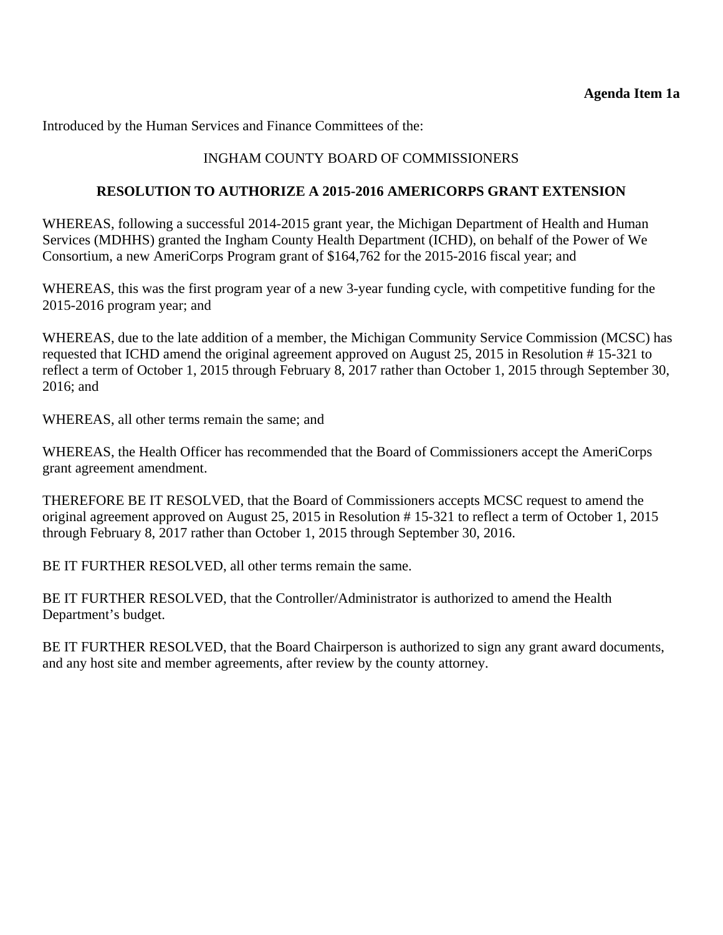Introduced by the Human Services and Finance Committees of the:

# INGHAM COUNTY BOARD OF COMMISSIONERS

## **RESOLUTION TO AUTHORIZE A 2015-2016 AMERICORPS GRANT EXTENSION**

WHEREAS, following a successful 2014-2015 grant year, the Michigan Department of Health and Human Services (MDHHS) granted the Ingham County Health Department (ICHD), on behalf of the Power of We Consortium, a new AmeriCorps Program grant of \$164,762 for the 2015-2016 fiscal year; and

WHEREAS, this was the first program year of a new 3-year funding cycle, with competitive funding for the 2015-2016 program year; and

WHEREAS, due to the late addition of a member, the Michigan Community Service Commission (MCSC) has requested that ICHD amend the original agreement approved on August 25, 2015 in Resolution # 15-321 to reflect a term of October 1, 2015 through February 8, 2017 rather than October 1, 2015 through September 30, 2016; and

WHEREAS, all other terms remain the same; and

WHEREAS, the Health Officer has recommended that the Board of Commissioners accept the AmeriCorps grant agreement amendment.

THEREFORE BE IT RESOLVED, that the Board of Commissioners accepts MCSC request to amend the original agreement approved on August 25, 2015 in Resolution # 15-321 to reflect a term of October 1, 2015 through February 8, 2017 rather than October 1, 2015 through September 30, 2016.

BE IT FURTHER RESOLVED, all other terms remain the same.

BE IT FURTHER RESOLVED, that the Controller/Administrator is authorized to amend the Health Department's budget.

BE IT FURTHER RESOLVED, that the Board Chairperson is authorized to sign any grant award documents, and any host site and member agreements, after review by the county attorney.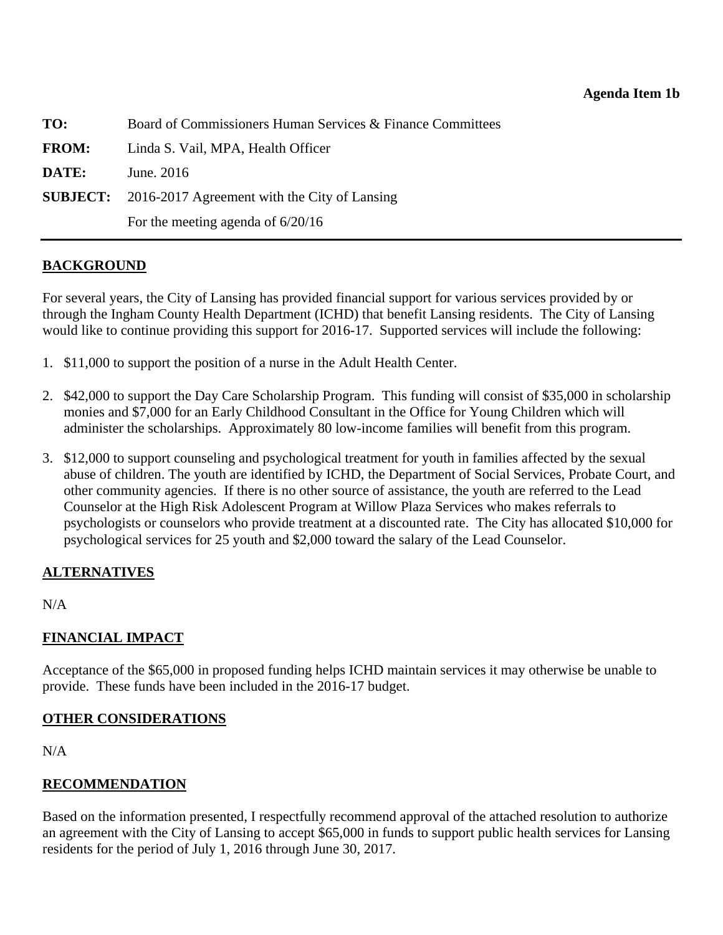<span id="page-14-0"></span>

| TO:          | Board of Commissioners Human Services & Finance Committees   |
|--------------|--------------------------------------------------------------|
| <b>FROM:</b> | Linda S. Vail, MPA, Health Officer                           |
| DATE:        | June. 2016                                                   |
|              | <b>SUBJECT:</b> 2016-2017 Agreement with the City of Lansing |
|              | For the meeting agenda of $6/20/16$                          |

#### **BACKGROUND**

For several years, the City of Lansing has provided financial support for various services provided by or through the Ingham County Health Department (ICHD) that benefit Lansing residents. The City of Lansing would like to continue providing this support for 2016-17. Supported services will include the following:

- 1. \$11,000 to support the position of a nurse in the Adult Health Center.
- 2. \$42,000 to support the Day Care Scholarship Program. This funding will consist of \$35,000 in scholarship monies and \$7,000 for an Early Childhood Consultant in the Office for Young Children which will administer the scholarships. Approximately 80 low-income families will benefit from this program.
- 3. \$12,000 to support counseling and psychological treatment for youth in families affected by the sexual abuse of children. The youth are identified by ICHD, the Department of Social Services, Probate Court, and other community agencies. If there is no other source of assistance, the youth are referred to the Lead Counselor at the High Risk Adolescent Program at Willow Plaza Services who makes referrals to psychologists or counselors who provide treatment at a discounted rate. The City has allocated \$10,000 for psychological services for 25 youth and \$2,000 toward the salary of the Lead Counselor.

#### **ALTERNATIVES**

N/A

# **FINANCIAL IMPACT**

Acceptance of the \$65,000 in proposed funding helps ICHD maintain services it may otherwise be unable to provide. These funds have been included in the 2016-17 budget.

#### **OTHER CONSIDERATIONS**

 $N/A$ 

# **RECOMMENDATION**

Based on the information presented, I respectfully recommend approval of the attached resolution to authorize an agreement with the City of Lansing to accept \$65,000 in funds to support public health services for Lansing residents for the period of July 1, 2016 through June 30, 2017.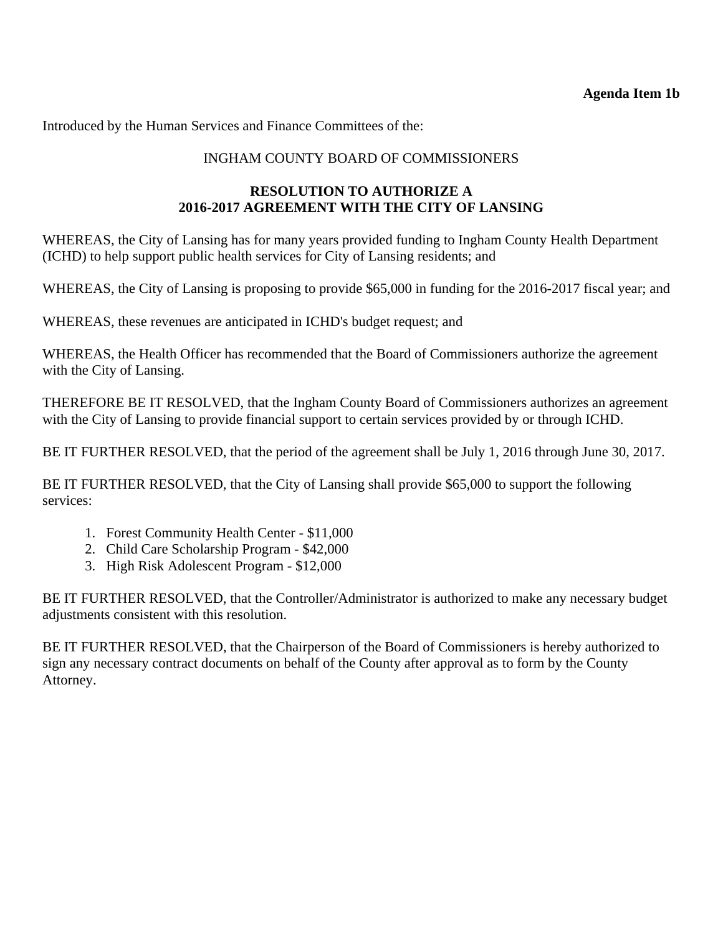# **Agenda Item 1b**

Introduced by the Human Services and Finance Committees of the:

# INGHAM COUNTY BOARD OF COMMISSIONERS

# **RESOLUTION TO AUTHORIZE A 2016-2017 AGREEMENT WITH THE CITY OF LANSING**

WHEREAS, the City of Lansing has for many years provided funding to Ingham County Health Department (ICHD) to help support public health services for City of Lansing residents; and

WHEREAS, the City of Lansing is proposing to provide \$65,000 in funding for the 2016-2017 fiscal year; and

WHEREAS, these revenues are anticipated in ICHD's budget request; and

WHEREAS, the Health Officer has recommended that the Board of Commissioners authorize the agreement with the City of Lansing.

THEREFORE BE IT RESOLVED, that the Ingham County Board of Commissioners authorizes an agreement with the City of Lansing to provide financial support to certain services provided by or through ICHD.

BE IT FURTHER RESOLVED, that the period of the agreement shall be July 1, 2016 through June 30, 2017.

BE IT FURTHER RESOLVED, that the City of Lansing shall provide \$65,000 to support the following services:

- 1. Forest Community Health Center \$11,000
- 2. Child Care Scholarship Program \$42,000
- 3. High Risk Adolescent Program \$12,000

BE IT FURTHER RESOLVED, that the Controller/Administrator is authorized to make any necessary budget adjustments consistent with this resolution.

BE IT FURTHER RESOLVED, that the Chairperson of the Board of Commissioners is hereby authorized to sign any necessary contract documents on behalf of the County after approval as to form by the County Attorney.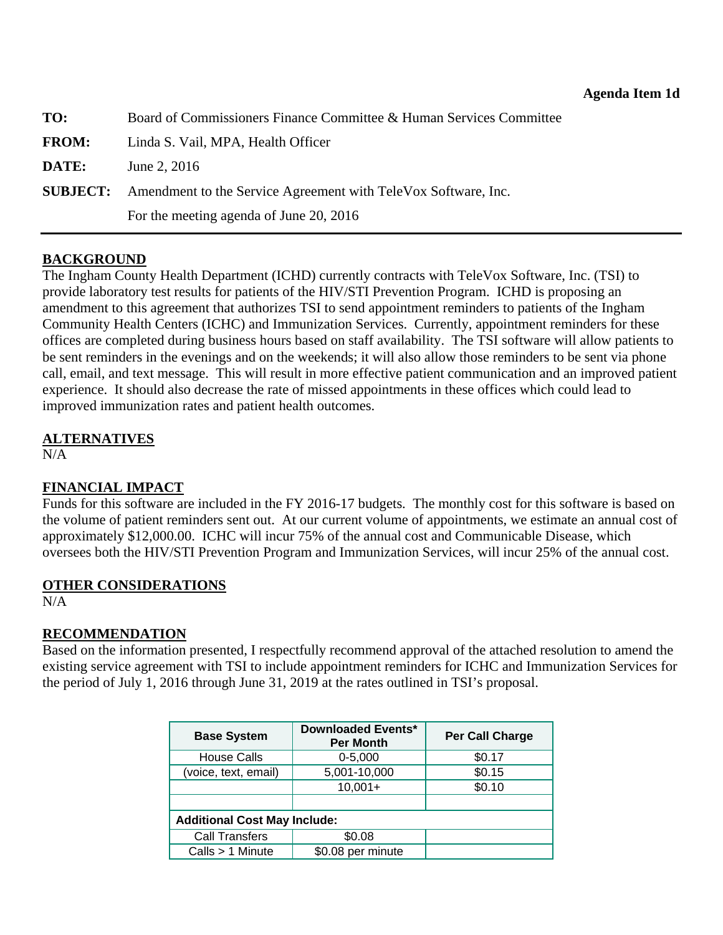<span id="page-16-0"></span>

| TO:          | Board of Commissioners Finance Committee & Human Services Committee            |
|--------------|--------------------------------------------------------------------------------|
| <b>FROM:</b> | Linda S. Vail, MPA, Health Officer                                             |
| DATE:        | June 2, 2016                                                                   |
|              | <b>SUBJECT:</b> Amendment to the Service Agreement with TeleVox Software, Inc. |
|              | For the meeting agenda of June 20, 2016                                        |

#### **BACKGROUND**

The Ingham County Health Department (ICHD) currently contracts with TeleVox Software, Inc. (TSI) to provide laboratory test results for patients of the HIV/STI Prevention Program. ICHD is proposing an amendment to this agreement that authorizes TSI to send appointment reminders to patients of the Ingham Community Health Centers (ICHC) and Immunization Services. Currently, appointment reminders for these offices are completed during business hours based on staff availability. The TSI software will allow patients to be sent reminders in the evenings and on the weekends; it will also allow those reminders to be sent via phone call, email, and text message. This will result in more effective patient communication and an improved patient experience. It should also decrease the rate of missed appointments in these offices which could lead to improved immunization rates and patient health outcomes.

#### **ALTERNATIVES**

N/A

# **FINANCIAL IMPACT**

Funds for this software are included in the FY 2016-17 budgets. The monthly cost for this software is based on the volume of patient reminders sent out. At our current volume of appointments, we estimate an annual cost of approximately \$12,000.00. ICHC will incur 75% of the annual cost and Communicable Disease, which oversees both the HIV/STI Prevention Program and Immunization Services, will incur 25% of the annual cost.

# **OTHER CONSIDERATIONS**

 $N/A$ 

# **RECOMMENDATION**

Based on the information presented, I respectfully recommend approval of the attached resolution to amend the existing service agreement with TSI to include appointment reminders for ICHC and Immunization Services for the period of July 1, 2016 through June 31, 2019 at the rates outlined in TSI's proposal.

| <b>Base System</b>                  | Downloaded Events*<br><b>Per Month</b> | <b>Per Call Charge</b> |  |  |
|-------------------------------------|----------------------------------------|------------------------|--|--|
| <b>House Calls</b>                  | $0 - 5,000$                            | \$0.17                 |  |  |
| (voice, text, email)                | 5,001-10,000                           | \$0.15                 |  |  |
|                                     | $10,001+$                              | \$0.10                 |  |  |
|                                     |                                        |                        |  |  |
| <b>Additional Cost May Include:</b> |                                        |                        |  |  |
| <b>Call Transfers</b>               | \$0.08                                 |                        |  |  |
| Calls > 1 Minute                    | \$0.08 per minute                      |                        |  |  |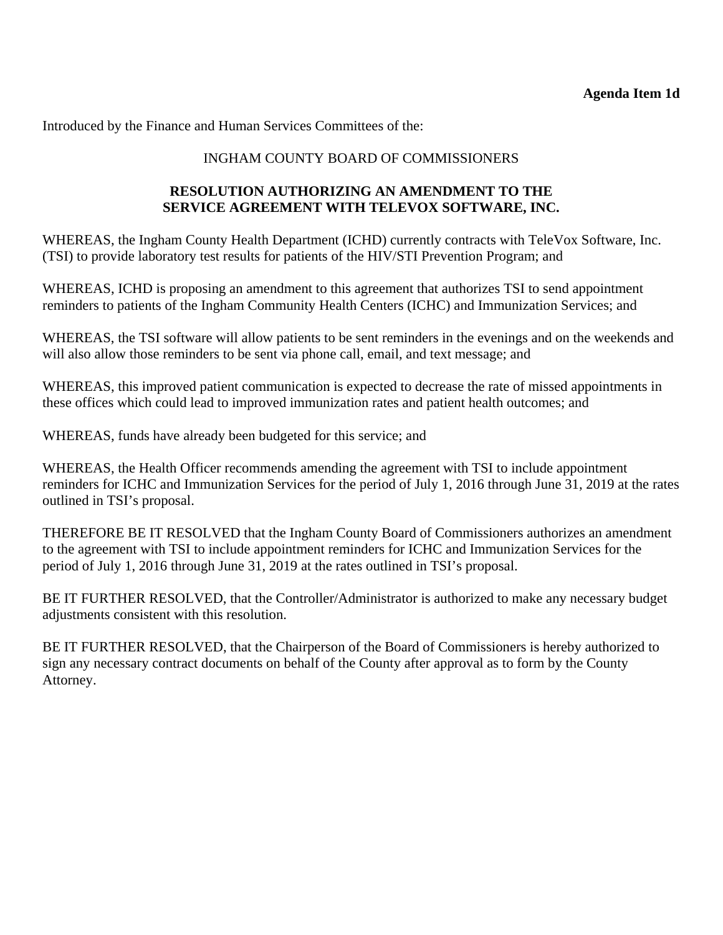Introduced by the Finance and Human Services Committees of the:

# INGHAM COUNTY BOARD OF COMMISSIONERS

# **RESOLUTION AUTHORIZING AN AMENDMENT TO THE SERVICE AGREEMENT WITH TELEVOX SOFTWARE, INC.**

WHEREAS, the Ingham County Health Department (ICHD) currently contracts with TeleVox Software, Inc. (TSI) to provide laboratory test results for patients of the HIV/STI Prevention Program; and

WHEREAS, ICHD is proposing an amendment to this agreement that authorizes TSI to send appointment reminders to patients of the Ingham Community Health Centers (ICHC) and Immunization Services; and

WHEREAS, the TSI software will allow patients to be sent reminders in the evenings and on the weekends and will also allow those reminders to be sent via phone call, email, and text message; and

WHEREAS, this improved patient communication is expected to decrease the rate of missed appointments in these offices which could lead to improved immunization rates and patient health outcomes; and

WHEREAS, funds have already been budgeted for this service; and

WHEREAS, the Health Officer recommends amending the agreement with TSI to include appointment reminders for ICHC and Immunization Services for the period of July 1, 2016 through June 31, 2019 at the rates outlined in TSI's proposal.

THEREFORE BE IT RESOLVED that the Ingham County Board of Commissioners authorizes an amendment to the agreement with TSI to include appointment reminders for ICHC and Immunization Services for the period of July 1, 2016 through June 31, 2019 at the rates outlined in TSI's proposal.

BE IT FURTHER RESOLVED, that the Controller/Administrator is authorized to make any necessary budget adjustments consistent with this resolution.

BE IT FURTHER RESOLVED, that the Chairperson of the Board of Commissioners is hereby authorized to sign any necessary contract documents on behalf of the County after approval as to form by the County Attorney.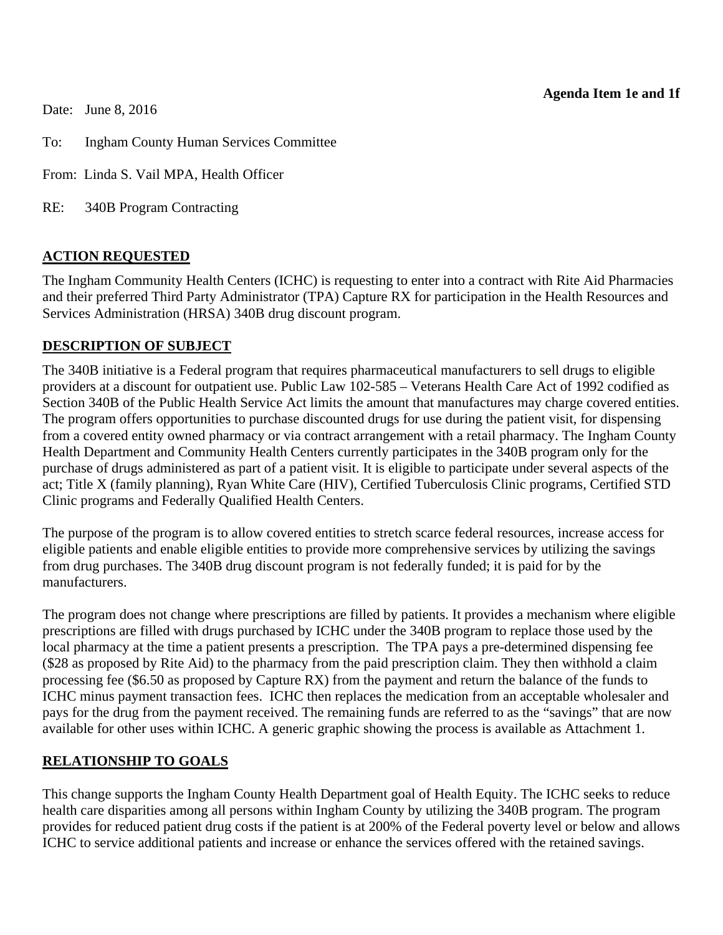#### **Agenda Item 1e and 1f**

Date: June 8, 2016

To: Ingham County Human Services Committee

From: Linda S. Vail MPA, Health Officer

RE: 340B Program Contracting

#### **ACTION REQUESTED**

The Ingham Community Health Centers (ICHC) is requesting to enter into a contract with Rite Aid Pharmacies and their preferred Third Party Administrator (TPA) Capture RX for participation in the Health Resources and Services Administration (HRSA) 340B drug discount program.

#### **DESCRIPTION OF SUBJECT**

The 340B initiative is a Federal program that requires pharmaceutical manufacturers to sell drugs to eligible providers at a discount for outpatient use. Public Law 102-585 – Veterans Health Care Act of 1992 codified as Section 340B of the Public Health Service Act limits the amount that manufactures may charge covered entities. The program offers opportunities to purchase discounted drugs for use during the patient visit, for dispensing from a covered entity owned pharmacy or via contract arrangement with a retail pharmacy. The Ingham County Health Department and Community Health Centers currently participates in the 340B program only for the purchase of drugs administered as part of a patient visit. It is eligible to participate under several aspects of the act; Title X (family planning), Ryan White Care (HIV), Certified Tuberculosis Clinic programs, Certified STD Clinic programs and Federally Qualified Health Centers.

The purpose of the program is to allow covered entities to stretch scarce federal resources, increase access for eligible patients and enable eligible entities to provide more comprehensive services by utilizing the savings from drug purchases. The 340B drug discount program is not federally funded; it is paid for by the manufacturers.

The program does not change where prescriptions are filled by patients. It provides a mechanism where eligible prescriptions are filled with drugs purchased by ICHC under the 340B program to replace those used by the local pharmacy at the time a patient presents a prescription. The TPA pays a pre-determined dispensing fee (\$28 as proposed by Rite Aid) to the pharmacy from the paid prescription claim. They then withhold a claim processing fee (\$6.50 as proposed by Capture RX) from the payment and return the balance of the funds to ICHC minus payment transaction fees. ICHC then replaces the medication from an acceptable wholesaler and pays for the drug from the payment received. The remaining funds are referred to as the "savings" that are now available for other uses within ICHC. A generic graphic showing the process is available as Attachment 1.

# **RELATIONSHIP TO GOALS**

This change supports the Ingham County Health Department goal of Health Equity. The ICHC seeks to reduce health care disparities among all persons within Ingham County by utilizing the 340B program. The program provides for reduced patient drug costs if the patient is at 200% of the Federal poverty level or below and allows ICHC to service additional patients and increase or enhance the services offered with the retained savings.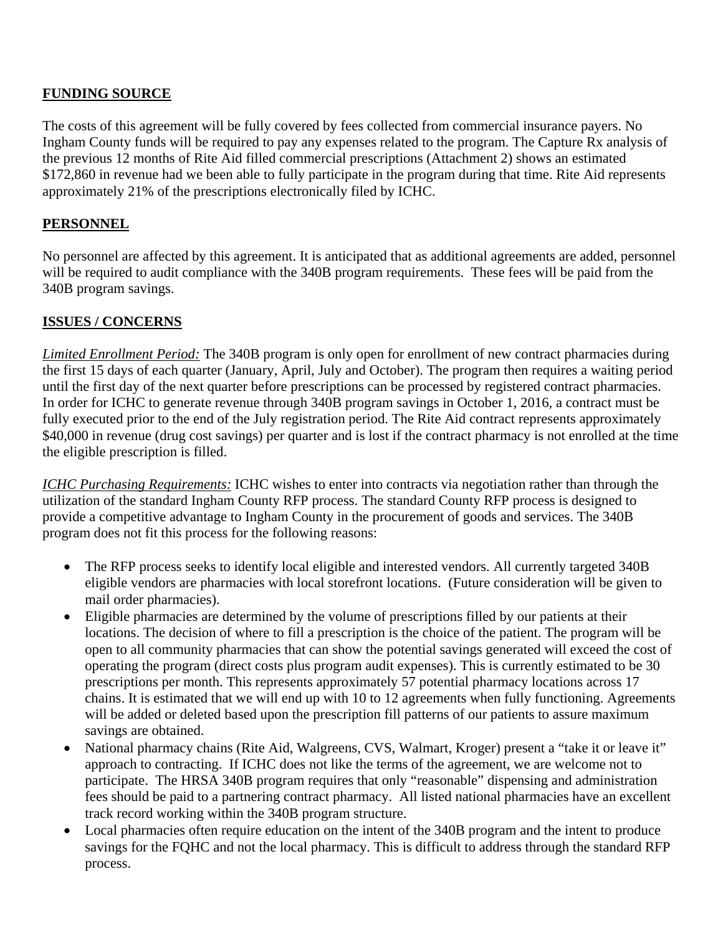# **FUNDING SOURCE**

The costs of this agreement will be fully covered by fees collected from commercial insurance payers. No Ingham County funds will be required to pay any expenses related to the program. The Capture Rx analysis of the previous 12 months of Rite Aid filled commercial prescriptions (Attachment 2) shows an estimated \$172,860 in revenue had we been able to fully participate in the program during that time. Rite Aid represents approximately 21% of the prescriptions electronically filed by ICHC.

# **PERSONNEL**

No personnel are affected by this agreement. It is anticipated that as additional agreements are added, personnel will be required to audit compliance with the 340B program requirements. These fees will be paid from the 340B program savings.

# **ISSUES / CONCERNS**

*Limited Enrollment Period:* The 340B program is only open for enrollment of new contract pharmacies during the first 15 days of each quarter (January, April, July and October). The program then requires a waiting period until the first day of the next quarter before prescriptions can be processed by registered contract pharmacies. In order for ICHC to generate revenue through 340B program savings in October 1, 2016, a contract must be fully executed prior to the end of the July registration period. The Rite Aid contract represents approximately \$40,000 in revenue (drug cost savings) per quarter and is lost if the contract pharmacy is not enrolled at the time the eligible prescription is filled.

*ICHC Purchasing Requirements:* ICHC wishes to enter into contracts via negotiation rather than through the utilization of the standard Ingham County RFP process. The standard County RFP process is designed to provide a competitive advantage to Ingham County in the procurement of goods and services. The 340B program does not fit this process for the following reasons:

- The RFP process seeks to identify local eligible and interested vendors. All currently targeted 340B eligible vendors are pharmacies with local storefront locations. (Future consideration will be given to mail order pharmacies).
- Eligible pharmacies are determined by the volume of prescriptions filled by our patients at their locations. The decision of where to fill a prescription is the choice of the patient. The program will be open to all community pharmacies that can show the potential savings generated will exceed the cost of operating the program (direct costs plus program audit expenses). This is currently estimated to be 30 prescriptions per month. This represents approximately 57 potential pharmacy locations across 17 chains. It is estimated that we will end up with 10 to 12 agreements when fully functioning. Agreements will be added or deleted based upon the prescription fill patterns of our patients to assure maximum savings are obtained.
- National pharmacy chains (Rite Aid, Walgreens, CVS, Walmart, Kroger) present a "take it or leave it" approach to contracting. If ICHC does not like the terms of the agreement, we are welcome not to participate. The HRSA 340B program requires that only "reasonable" dispensing and administration fees should be paid to a partnering contract pharmacy. All listed national pharmacies have an excellent track record working within the 340B program structure.
- Local pharmacies often require education on the intent of the 340B program and the intent to produce savings for the FQHC and not the local pharmacy. This is difficult to address through the standard RFP process.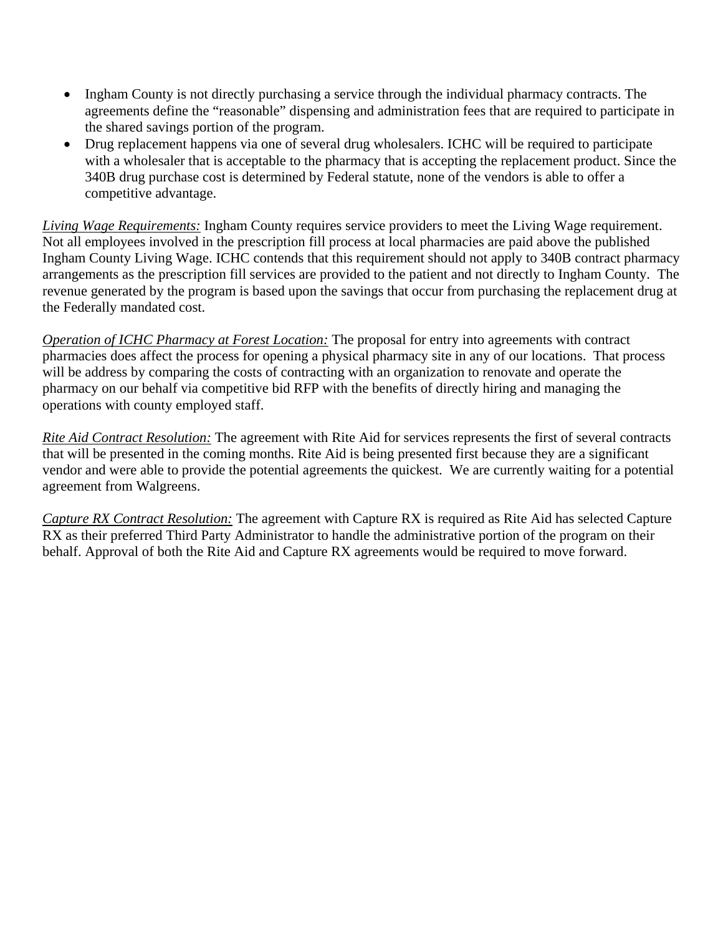- Ingham County is not directly purchasing a service through the individual pharmacy contracts. The agreements define the "reasonable" dispensing and administration fees that are required to participate in the shared savings portion of the program.
- Drug replacement happens via one of several drug wholesalers. ICHC will be required to participate with a wholesaler that is acceptable to the pharmacy that is accepting the replacement product. Since the 340B drug purchase cost is determined by Federal statute, none of the vendors is able to offer a competitive advantage.

*Living Wage Requirements:* Ingham County requires service providers to meet the Living Wage requirement. Not all employees involved in the prescription fill process at local pharmacies are paid above the published Ingham County Living Wage. ICHC contends that this requirement should not apply to 340B contract pharmacy arrangements as the prescription fill services are provided to the patient and not directly to Ingham County. The revenue generated by the program is based upon the savings that occur from purchasing the replacement drug at the Federally mandated cost.

*Operation of ICHC Pharmacy at Forest Location:* The proposal for entry into agreements with contract pharmacies does affect the process for opening a physical pharmacy site in any of our locations. That process will be address by comparing the costs of contracting with an organization to renovate and operate the pharmacy on our behalf via competitive bid RFP with the benefits of directly hiring and managing the operations with county employed staff.

*Rite Aid Contract Resolution:* The agreement with Rite Aid for services represents the first of several contracts that will be presented in the coming months. Rite Aid is being presented first because they are a significant vendor and were able to provide the potential agreements the quickest. We are currently waiting for a potential agreement from Walgreens.

*Capture RX Contract Resolution:* The agreement with Capture RX is required as Rite Aid has selected Capture RX as their preferred Third Party Administrator to handle the administrative portion of the program on their behalf. Approval of both the Rite Aid and Capture RX agreements would be required to move forward.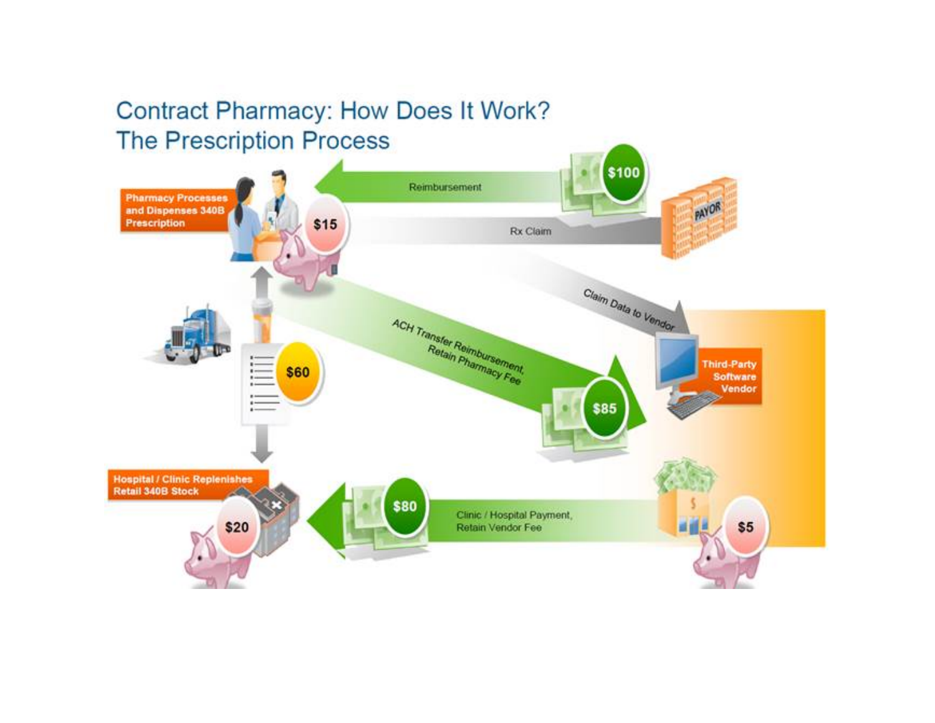# **Contract Pharmacy: How Does It Work? The Prescription Process**

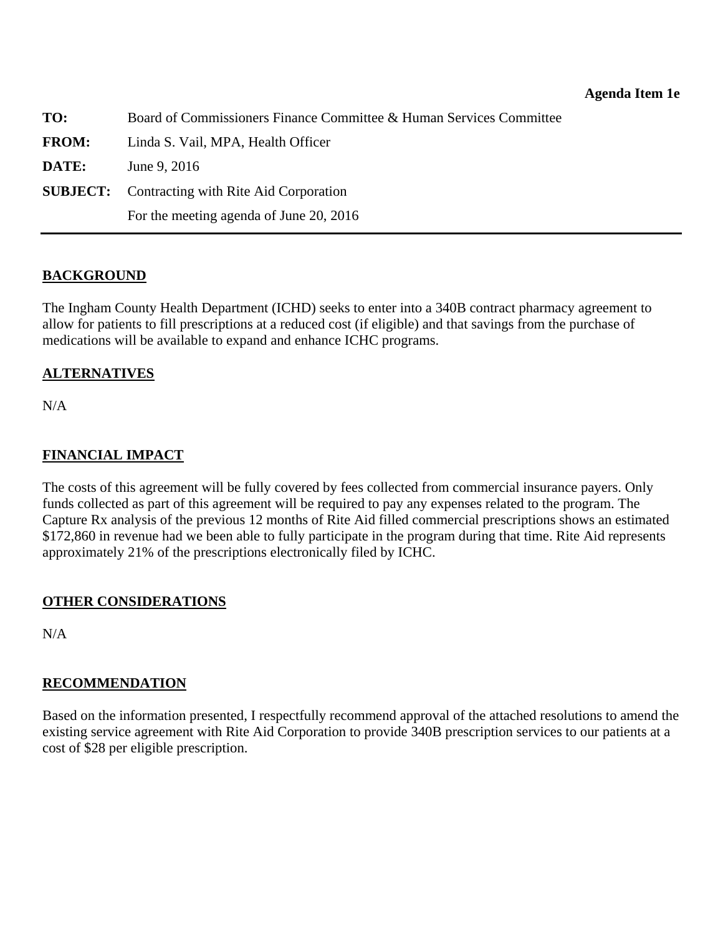| TO:          | Board of Commissioners Finance Committee & Human Services Committee |
|--------------|---------------------------------------------------------------------|
| <b>FROM:</b> | Linda S. Vail, MPA, Health Officer                                  |
| DATE:        | June 9, 2016                                                        |
|              | <b>SUBJECT:</b> Contracting with Rite Aid Corporation               |
|              | For the meeting agenda of June 20, 2016                             |

#### **BACKGROUND**

The Ingham County Health Department (ICHD) seeks to enter into a 340B contract pharmacy agreement to allow for patients to fill prescriptions at a reduced cost (if eligible) and that savings from the purchase of medications will be available to expand and enhance ICHC programs.

#### **ALTERNATIVES**

N/A

# **FINANCIAL IMPACT**

The costs of this agreement will be fully covered by fees collected from commercial insurance payers. Only funds collected as part of this agreement will be required to pay any expenses related to the program. The Capture Rx analysis of the previous 12 months of Rite Aid filled commercial prescriptions shows an estimated \$172,860 in revenue had we been able to fully participate in the program during that time. Rite Aid represents approximately 21% of the prescriptions electronically filed by ICHC.

# **OTHER CONSIDERATIONS**

N/A

#### **RECOMMENDATION**

Based on the information presented, I respectfully recommend approval of the attached resolutions to amend the existing service agreement with Rite Aid Corporation to provide 340B prescription services to our patients at a cost of \$28 per eligible prescription.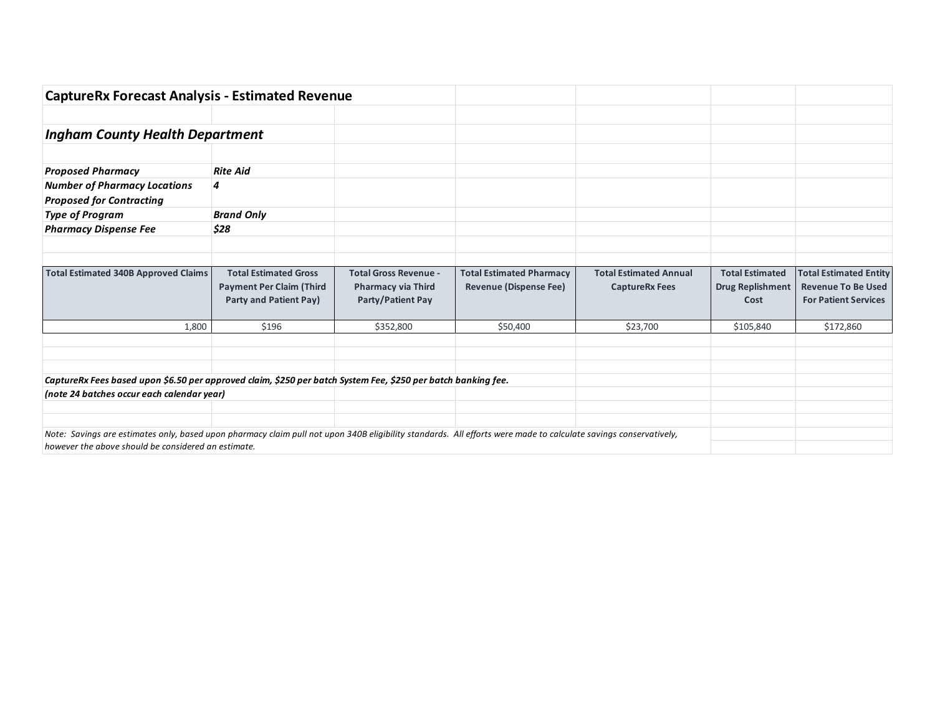| <b>CaptureRx Forecast Analysis - Estimated Revenue</b>                                                                                                           |                                                                                           |                                                                                       |                                                                  |                                                        |                                                           |                                                                                           |
|------------------------------------------------------------------------------------------------------------------------------------------------------------------|-------------------------------------------------------------------------------------------|---------------------------------------------------------------------------------------|------------------------------------------------------------------|--------------------------------------------------------|-----------------------------------------------------------|-------------------------------------------------------------------------------------------|
|                                                                                                                                                                  |                                                                                           |                                                                                       |                                                                  |                                                        |                                                           |                                                                                           |
| <b>Ingham County Health Department</b>                                                                                                                           |                                                                                           |                                                                                       |                                                                  |                                                        |                                                           |                                                                                           |
|                                                                                                                                                                  |                                                                                           |                                                                                       |                                                                  |                                                        |                                                           |                                                                                           |
| <b>Proposed Pharmacy</b>                                                                                                                                         | <b>Rite Aid</b>                                                                           |                                                                                       |                                                                  |                                                        |                                                           |                                                                                           |
| <b>Number of Pharmacy Locations</b><br><b>Proposed for Contracting</b>                                                                                           | $\boldsymbol{4}$                                                                          |                                                                                       |                                                                  |                                                        |                                                           |                                                                                           |
| <b>Type of Program</b>                                                                                                                                           | <b>Brand Only</b>                                                                         |                                                                                       |                                                                  |                                                        |                                                           |                                                                                           |
| <b>Pharmacy Dispense Fee</b>                                                                                                                                     | \$28                                                                                      |                                                                                       |                                                                  |                                                        |                                                           |                                                                                           |
|                                                                                                                                                                  |                                                                                           |                                                                                       |                                                                  |                                                        |                                                           |                                                                                           |
| <b>Total Estimated 340B Approved Claims</b>                                                                                                                      | <b>Total Estimated Gross</b><br><b>Payment Per Claim (Third</b><br>Party and Patient Pay) | <b>Total Gross Revenue -</b><br><b>Pharmacy via Third</b><br><b>Party/Patient Pay</b> | <b>Total Estimated Pharmacy</b><br><b>Revenue (Dispense Fee)</b> | <b>Total Estimated Annual</b><br><b>CaptureRx Fees</b> | <b>Total Estimated</b><br><b>Drug Replishment</b><br>Cost | <b>Total Estimated Entity</b><br><b>Revenue To Be Used</b><br><b>For Patient Services</b> |
| 1,800                                                                                                                                                            | \$196                                                                                     | \$352,800                                                                             | \$50,400                                                         | \$23,700                                               | \$105,840                                                 | \$172,860                                                                                 |
|                                                                                                                                                                  |                                                                                           |                                                                                       |                                                                  |                                                        |                                                           |                                                                                           |
|                                                                                                                                                                  |                                                                                           |                                                                                       |                                                                  |                                                        |                                                           |                                                                                           |
| CaptureRx Fees based upon \$6.50 per approved claim, \$250 per batch System Fee, \$250 per batch banking fee.                                                    |                                                                                           |                                                                                       |                                                                  |                                                        |                                                           |                                                                                           |
| (note 24 batches occur each calendar year)                                                                                                                       |                                                                                           |                                                                                       |                                                                  |                                                        |                                                           |                                                                                           |
|                                                                                                                                                                  |                                                                                           |                                                                                       |                                                                  |                                                        |                                                           |                                                                                           |
| Note: Savings are estimates only, based upon pharmacy claim pull not upon 340B eligibility standards. All efforts were made to calculate savings conservatively, |                                                                                           |                                                                                       |                                                                  |                                                        |                                                           |                                                                                           |
| however the above should be considered an estimate.                                                                                                              |                                                                                           |                                                                                       |                                                                  |                                                        |                                                           |                                                                                           |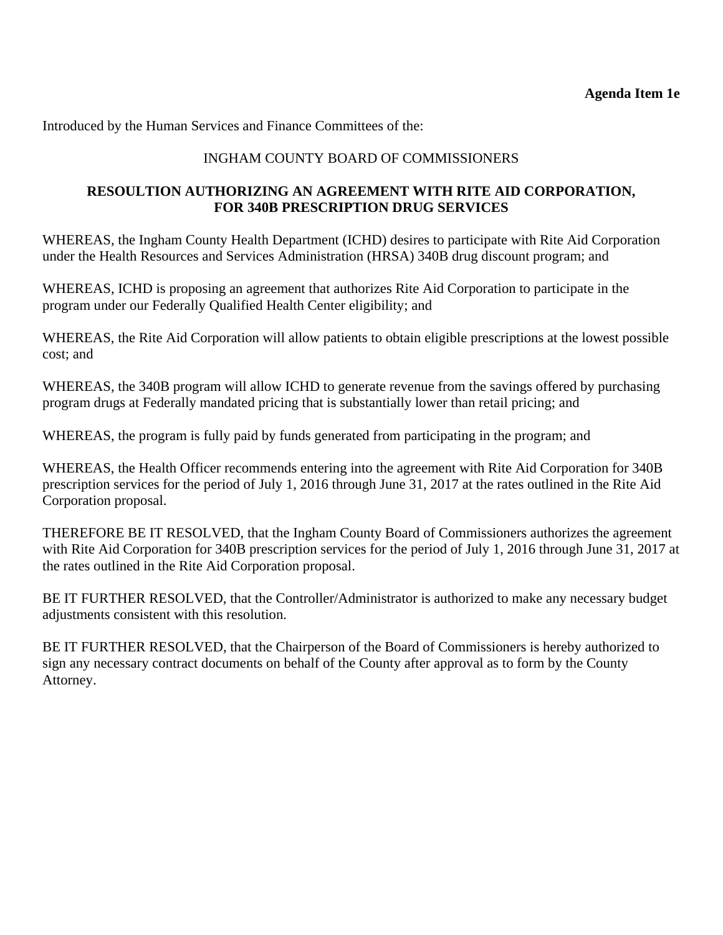<span id="page-24-0"></span>Introduced by the Human Services and Finance Committees of the:

# INGHAM COUNTY BOARD OF COMMISSIONERS

# **RESOULTION AUTHORIZING AN AGREEMENT WITH RITE AID CORPORATION, FOR 340B PRESCRIPTION DRUG SERVICES**

WHEREAS, the Ingham County Health Department (ICHD) desires to participate with Rite Aid Corporation under the Health Resources and Services Administration (HRSA) 340B drug discount program; and

WHEREAS, ICHD is proposing an agreement that authorizes Rite Aid Corporation to participate in the program under our Federally Qualified Health Center eligibility; and

WHEREAS, the Rite Aid Corporation will allow patients to obtain eligible prescriptions at the lowest possible cost; and

WHEREAS, the 340B program will allow ICHD to generate revenue from the savings offered by purchasing program drugs at Federally mandated pricing that is substantially lower than retail pricing; and

WHEREAS, the program is fully paid by funds generated from participating in the program; and

WHEREAS, the Health Officer recommends entering into the agreement with Rite Aid Corporation for 340B prescription services for the period of July 1, 2016 through June 31, 2017 at the rates outlined in the Rite Aid Corporation proposal.

THEREFORE BE IT RESOLVED, that the Ingham County Board of Commissioners authorizes the agreement with Rite Aid Corporation for 340B prescription services for the period of July 1, 2016 through June 31, 2017 at the rates outlined in the Rite Aid Corporation proposal.

BE IT FURTHER RESOLVED, that the Controller/Administrator is authorized to make any necessary budget adjustments consistent with this resolution.

BE IT FURTHER RESOLVED, that the Chairperson of the Board of Commissioners is hereby authorized to sign any necessary contract documents on behalf of the County after approval as to form by the County Attorney.